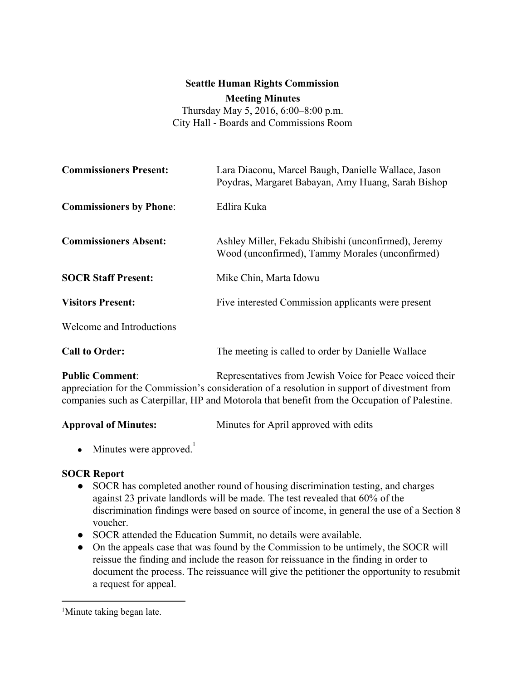### **Seattle Human Rights Commission**

**Meeting Minutes**

Thursday May 5, 2016, 6:00–8:00 p.m. City Hall - Boards and Commissions Room

| <b>Commissioners Present:</b>  | Lara Diaconu, Marcel Baugh, Danielle Wallace, Jason<br>Poydras, Margaret Babayan, Amy Huang, Sarah Bishop                                                                                                                                                  |
|--------------------------------|------------------------------------------------------------------------------------------------------------------------------------------------------------------------------------------------------------------------------------------------------------|
| <b>Commissioners by Phone:</b> | Edlira Kuka                                                                                                                                                                                                                                                |
| <b>Commissioners Absent:</b>   | Ashley Miller, Fekadu Shibishi (unconfirmed), Jeremy<br>Wood (unconfirmed), Tammy Morales (unconfirmed)                                                                                                                                                    |
| <b>SOCR Staff Present:</b>     | Mike Chin, Marta Idowu                                                                                                                                                                                                                                     |
| <b>Visitors Present:</b>       | Five interested Commission applicants were present                                                                                                                                                                                                         |
| Welcome and Introductions      |                                                                                                                                                                                                                                                            |
| <b>Call to Order:</b>          | The meeting is called to order by Danielle Wallace                                                                                                                                                                                                         |
| <b>Public Comment:</b>         | Representatives from Jewish Voice for Peace voiced their<br>appreciation for the Commission's consideration of a resolution in support of divestment from<br>companies such as Caterpillar, HP and Motorola that benefit from the Occupation of Palestine. |

**Approval of Minutes:** Minutes for April approved with edits

• Minutes were approved.<sup>1</sup>

### **SOCR Report**

- SOCR has completed another round of housing discrimination testing, and charges against 23 private landlords will be made. The test revealed that 60% of the discrimination findings were based on source of income, in general the use of a Section 8 voucher.
- SOCR attended the Education Summit, no details were available.
- On the appeals case that was found by the Commission to be untimely, the SOCR will reissue the finding and include the reason for reissuance in the finding in order to document the process. The reissuance will give the petitioner the opportunity to resubmit a request for appeal.

<sup>&</sup>lt;sup>1</sup>Minute taking began late.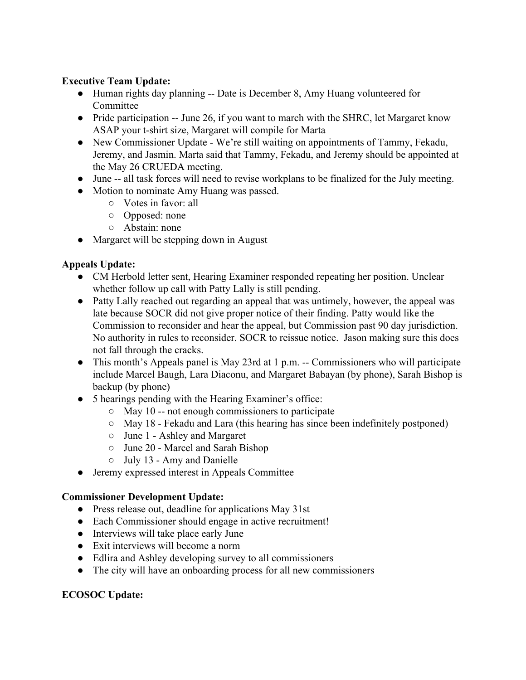## **Executive Team Update:**

- Human rights day planning -- Date is December 8, Amy Huang volunteered for **Committee**
- Pride participation -- June 26, if you want to march with the SHRC, let Margaret know ASAP your t-shirt size, Margaret will compile for Marta
- New Commissioner Update We're still waiting on appointments of Tammy, Fekadu, Jeremy, and Jasmin. Marta said that Tammy, Fekadu, and Jeremy should be appointed at the May 26 CRUEDA meeting.
- June -- all task forces will need to revise workplans to be finalized for the July meeting.
- Motion to nominate Amy Huang was passed.
	- Votes in favor: all
	- Opposed: none
	- Abstain: none
- Margaret will be stepping down in August

### **Appeals Update:**

- CM Herbold letter sent, Hearing Examiner responded repeating her position. Unclear whether follow up call with Patty Lally is still pending.
- Patty Lally reached out regarding an appeal that was untimely, however, the appeal was late because SOCR did not give proper notice of their finding. Patty would like the Commission to reconsider and hear the appeal, but Commission past 90 day jurisdiction. No authority in rules to reconsider. SOCR to reissue notice. Jason making sure this does not fall through the cracks.
- This month's Appeals panel is May 23rd at 1 p.m. -- Commissioners who will participate include Marcel Baugh, Lara Diaconu, and Margaret Babayan (by phone), Sarah Bishop is backup (by phone)
- 5 hearings pending with the Hearing Examiner's office:
	- May 10 -- not enough commissioners to participate
	- May 18 Fekadu and Lara (this hearing has since been indefinitely postponed)
	- June 1 Ashley and Margaret
	- June 20 Marcel and Sarah Bishop
	- July 13 Amy and Danielle
- Jeremy expressed interest in Appeals Committee

#### **Commissioner Development Update:**

- Press release out, deadline for applications May 31st
- Each Commissioner should engage in active recruitment!
- Interviews will take place early June
- Exit interviews will become a norm
- Edlira and Ashley developing survey to all commissioners
- The city will have an onboarding process for all new commissioners

### **ECOSOC Update:**